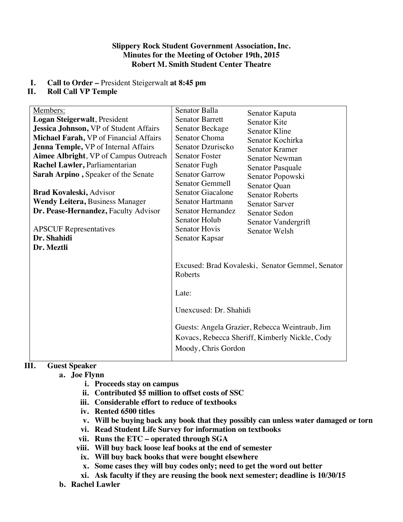#### **Slippery Rock Student Government Association, Inc. Minutes for the Meeting of October 19th, 2015 Robert M. Smith Student Center Theatre**

## **I. Call to Order –** President Steigerwalt **at 8:45 pm**

## **II. Roll Call VP Temple**

| Members:                                     | Senator Balla                                               |                        |
|----------------------------------------------|-------------------------------------------------------------|------------------------|
|                                              |                                                             | Senator Kaputa         |
| Logan Steigerwalt, President                 | <b>Senator Barrett</b>                                      | <b>Senator Kite</b>    |
| Jessica Johnson, VP of Student Affairs       | Senator Beckage                                             | Senator Kline          |
| Michael Farah, VP of Financial Affairs       | Senator Choma                                               | Senator Kochirka       |
| Jenna Temple, VP of Internal Affairs         | Senator Dzuriscko                                           | <b>Senator Kramer</b>  |
| <b>Aimee Albright, VP of Campus Outreach</b> | <b>Senator Foster</b>                                       | <b>Senator Newman</b>  |
| Rachel Lawler, Parliamentarian               | Senator Fugh                                                | Senator Pasquale       |
| Sarah Arpino, Speaker of the Senate          | <b>Senator Garrow</b>                                       | Senator Popowski       |
|                                              | <b>Senator Gemmell</b>                                      | Senator Quan           |
| <b>Brad Kovaleski, Advisor</b>               | <b>Senator Giacalone</b>                                    | <b>Senator Roberts</b> |
| <b>Wendy Leitera, Business Manager</b>       | Senator Hartmann                                            | <b>Senator Sarver</b>  |
| Dr. Pease-Hernandez, Faculty Advisor         | Senator Hernandez                                           | <b>Senator Sedon</b>   |
|                                              | <b>Senator Holub</b>                                        | Senator Vandergrift    |
| <b>APSCUF</b> Representatives                | <b>Senator Hovis</b>                                        | <b>Senator Welsh</b>   |
| Dr. Shahidi                                  | Senator Kapsar                                              |                        |
| Dr. Meztli                                   |                                                             |                        |
|                                              |                                                             |                        |
|                                              |                                                             |                        |
|                                              | Excused: Brad Kovaleski, Senator Gemmel, Senator<br>Roberts |                        |
|                                              |                                                             |                        |
|                                              | Late:                                                       |                        |
|                                              |                                                             |                        |
|                                              | Unexcused: Dr. Shahidi                                      |                        |
|                                              | Guests: Angela Grazier, Rebecca Weintraub, Jim              |                        |
|                                              |                                                             |                        |
|                                              | Kovacs, Rebecca Sheriff, Kimberly Nickle, Cody              |                        |
|                                              | Moody, Chris Gordon                                         |                        |

#### **III. Guest Speaker**

- **a. Joe Flynn**
	- **i. Proceeds stay on campus**
	- **ii. Contributed \$5 million to offset costs of SSC**
	- **iii. Considerable effort to reduce of textbooks**
	- **iv. Rented 6500 titles**
	- **v. Will be buying back any book that they possibly can unless water damaged or torn**
	- **vi. Read Student Life Survey for information on textbooks**
	- **vii. Runs the ETC – operated through SGA**
	- **viii. Will buy back loose leaf books at the end of semester**
	- **ix. Will buy back books that were bought elsewhere**
	- **x. Some cases they will buy codes only; need to get the word out better**
	- **xi. Ask faculty if they are reusing the book next semester; deadline is 10/30/15**
- **b. Rachel Lawler**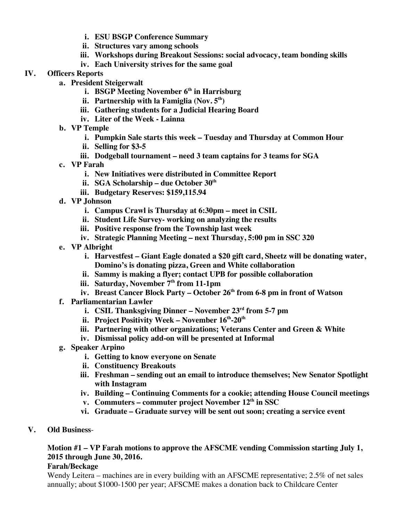- **i. ESU BSGP Conference Summary**
- **ii. Structures vary among schools**
- **iii. Workshops during Breakout Sessions: social advocacy, team bonding skills**
- **iv. Each University strives for the same goal**
- **IV. Officers Reports**
	- **a. President Steigerwalt**
		- **i. BSGP Meeting November 6th in Harrisburg**
		- **ii. Partnership with la Famiglia (Nov. 5th)**
		- **iii. Gathering students for a Judicial Hearing Board**
		- **iv. Liter of the Week - Lainna**
	- **b. VP Temple**
		- **i. Pumpkin Sale starts this week – Tuesday and Thursday at Common Hour**
		- **ii. Selling for \$3-5**
		- **iii. Dodgeball tournament – need 3 team captains for 3 teams for SGA**
	- **c. VP Farah**
		- **i. New Initiatives were distributed in Committee Report**
		- **ii. SGA Scholarship – due October 30th**
		- **iii. Budgetary Reserves: \$159,115.94**
	- **d. VP Johnson**
		- **i. Campus Crawl is Thursday at 6:30pm – meet in CSIL**
		- **ii. Student Life Survey- working on analyzing the results**
		- **iii. Positive response from the Township last week**
		- **iv. Strategic Planning Meeting – next Thursday, 5:00 pm in SSC 320**
	- **e. VP Albright**
		- **i. Harvestfest – Giant Eagle donated a \$20 gift card, Sheetz will be donating water, Domino's is donating pizza, Green and White collaboration**
		- **ii. Sammy is making a flyer; contact UPB for possible collaboration**
		- **iii. Saturday, November 7th from 11-1pm**
		- **iv. Breast Cancer Block Party – October 26th from 6-8 pm in front of Watson**
	- **f. Parliamentarian Lawler**
		- **i. CSIL Thanksgiving Dinner – November 23rd from 5-7 pm**
		- **ii. Project Positivity Week – November 16th-20th**
		- **iii. Partnering with other organizations; Veterans Center and Green & White**
		- **iv. Dismissal policy add-on will be presented at Informal**
	- **g. Speaker Arpino**
		- **i. Getting to know everyone on Senate**
		- **ii. Constituency Breakouts**
		- **iii. Freshman – sending out an email to introduce themselves; New Senator Spotlight with Instagram**
		- **iv. Building – Continuing Comments for a cookie; attending House Council meetings**
		- **v. Commuters – commuter project November 12th in SSC**
		- **vi. Graduate – Graduate survey will be sent out soon; creating a service event**
- **V. Old Business**-

# **Motion #1 – VP Farah motions to approve the AFSCME vending Commission starting July 1, 2015 through June 30, 2016.**

## **Farah/Beckage**

Wendy Leitera – machines are in every building with an AFSCME representative; 2.5% of net sales annually; about \$1000-1500 per year; AFSCME makes a donation back to Childcare Center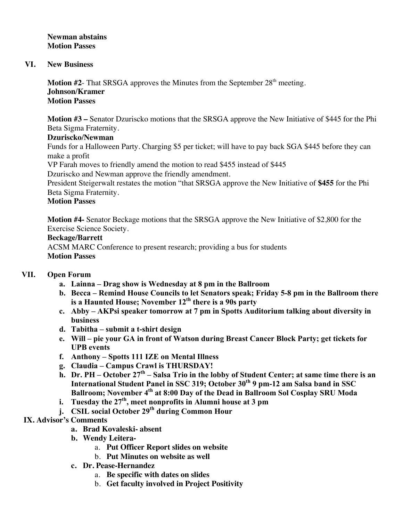**Newman abstains Motion Passes**

#### **VI. New Business**

**Motion #2**- That SRSGA approves the Minutes from the September 28<sup>th</sup> meeting. **Johnson/Kramer Motion Passes**

**Motion #3 –** Senator Dzuriscko motions that the SRSGA approve the New Initiative of \$445 for the Phi Beta Sigma Fraternity.

#### **Dzuriscko/Newman**

Funds for a Halloween Party. Charging \$5 per ticket; will have to pay back SGA \$445 before they can make a profit

VP Farah moves to friendly amend the motion to read \$455 instead of \$445

Dzuriscko and Newman approve the friendly amendment.

President Steigerwalt restates the motion "that SRSGA approve the New Initiative of **\$455** for the Phi Beta Sigma Fraternity.

## **Motion Passes**

**Motion #4-** Senator Beckage motions that the SRSGA approve the New Initiative of \$2,800 for the Exercise Science Society.

#### **Beckage/Barrett**

ACSM MARC Conference to present research; providing a bus for students

# **Motion Passes**

## **VII. Open Forum**

- **a. Lainna – Drag show is Wednesday at 8 pm in the Ballroom**
- **b. Becca – Remind House Councils to let Senators speak; Friday 5-8 pm in the Ballroom there is a Haunted House; November 12th there is a 90s party**
- **c. Abby – AKPsi speaker tomorrow at 7 pm in Spotts Auditorium talking about diversity in business**
- **d. Tabitha – submit a t-shirt design**
- **e. Will – pie your GA in front of Watson during Breast Cancer Block Party; get tickets for UPB events**
- **f. Anthony – Spotts 111 IZE on Mental Illness**
- **g. Claudia – Campus Crawl is THURSDAY!**
- **h. Dr. PH – October 27th – Salsa Trio in the lobby of Student Center; at same time there is an International Student Panel in SSC 319; October 30th 9 pm-12 am Salsa band in SSC Ballroom; November 4th at 8:00 Day of the Dead in Ballroom Sol Cosplay SRU Moda**
- **i.** Tuesday the 27<sup>th</sup>, meet nonprofits in Alumni house at 3 pm
- **j. CSIL social October 29th during Common Hour**

## **IX. Advisor's Comments**

- **a. Brad Kovaleski- absent**
- **b. Wendy Leitera**
	- a. **Put Officer Report slides on website**
	- b. **Put Minutes on website as well**
- **c. Dr. Pease-Hernandez**
	- a. **Be specific with dates on slides**
	- b. **Get faculty involved in Project Positivity**